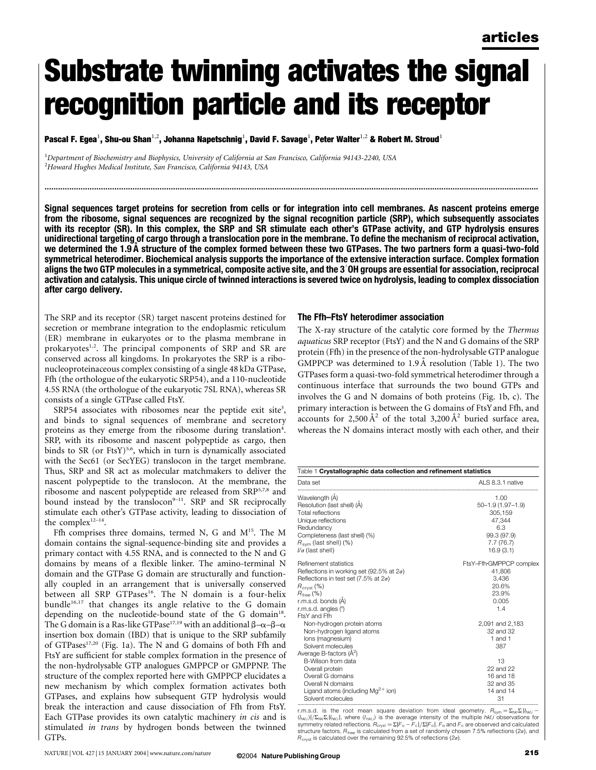# Substrate twinning activates the signal recognition particle and its receptor

Pascal F. Egea $^1$ , Shu-ou Shan $^{1,2}$ , Johanna Napetschnig $^1$ , David F. Savage $^1$ , Peter Walter $^{1,2}$  & Robert M. Stroud $^1$ 

<sup>1</sup>Department of Biochemistry and Biophysics, University of California at San Francisco, California 94143-2240, USA<br><sup>2</sup>Howard Hurbes Medical Institute, San Francisco, California 94143, USA  $\mathrm{^{2}H}$ oward Hughes Medical Institute, San Francisco, California 94143, USA

Signal sequences target proteins for secretion from cells or for integration into cell membranes. As nascent proteins emerge from the ribosome, signal sequences are recognized by the signal recognition particle (SRP), which subsequently associates with its receptor (SR). In this complex, the SRP and SR stimulate each other's GTPase activity, and GTP hydrolysis ensures unidirectional targeting of cargo through a translocation pore in the membrane. To define the mechanism of reciprocal activation, we determined the 1.9 A˚ structure of the complex formed between these two GTPases. The two partners form a quasi-two-fold symmetrical heterodimer. Biochemical analysis supports the importance of the extensive interaction surface. Complex formation aligns the two GTP molecules in a symmetrical, composite active site, and the 3′OH groups are essential for association, reciprocal activation and catalysis. This unique circle of twinned interactions is severed twice on hydrolysis, leading to complex dissociation after cargo delivery.

...........................................................................................................................................................................................................................

The SRP and its receptor (SR) target nascent proteins destined for secretion or membrane integration to the endoplasmic reticulum (ER) membrane in eukaryotes or to the plasma membrane in prokaryotes<sup>1,2</sup>. The principal components of SRP and SR are conserved across all kingdoms. In prokaryotes the SRP is a ribonucleoproteinaceous complex consisting of a single 48 kDa GTPase, Ffh (the orthologue of the eukaryotic SRP54), and a 110-nucleotide 4.5S RNA (the orthologue of the eukaryotic 7SL RNA), whereas SR consists of a single GTPase called FtsY.

SRP54 associates with ribosomes near the peptide exit site<sup>3</sup>, and binds to signal sequences of membrane and secretory proteins as they emerge from the ribosome during translation<sup>4</sup>. SRP, with its ribosome and nascent polypeptide as cargo, then binds to SR (or FtsY)<sup>5,6</sup>, which in turn is dynamically associated with the Sec61 (or SecYEG) translocon in the target membrane. Thus, SRP and SR act as molecular matchmakers to deliver the nascent polypeptide to the translocon. At the membrane, the ribosome and nascent polypeptide are released from SRP5,7,8 and bound instead by the translocon $9-11$ . SRP and SR reciprocally stimulate each other's GTPase activity, leading to dissociation of the complex $12-14$ .

Ffh comprises three domains, termed N, G and M<sup>15</sup>. The M domain contains the signal-sequence-binding site and provides a primary contact with 4.5S RNA, and is connected to the N and G domains by means of a flexible linker. The amino-terminal N domain and the GTPase G domain are structurally and functionally coupled in an arrangement that is universally conserved between all SRP GTPases<sup>16</sup>. The N domain is a four-helix bundle<sup>16,17</sup> that changes its angle relative to the G domain depending on the nucleotide-bound state of the G domain<sup>18</sup>. The G domain is a Ras-like GTPase<sup>17,19</sup> with an additional  $\beta-\alpha-\beta-\alpha$ insertion box domain (IBD) that is unique to the SRP subfamily of GTPases<sup>17,20</sup> (Fig. 1a). The N and G domains of both Ffh and FtsY are sufficient for stable complex formation in the presence of the non-hydrolysable GTP analogues GMPPCP or GMPPNP. The structure of the complex reported here with GMPPCP elucidates a new mechanism by which complex formation activates both GTPases, and explains how subsequent GTP hydrolysis would break the interaction and cause dissociation of Ffh from FtsY. Each GTPase provides its own catalytic machinery in cis and is stimulated in trans by hydrogen bonds between the twinned GTPs.

## The Ffh–FtsY heterodimer association

The X-ray structure of the catalytic core formed by the Thermus aquaticus SRP receptor (FtsY) and the N and G domains of the SRP protein (Ffh) in the presence of the non-hydrolysable GTP analogue GMPPCP was determined to  $1.9 \text{ Å}$  resolution (Table 1). The two GTPases form a quasi-two-fold symmetrical heterodimer through a continuous interface that surrounds the two bound GTPs and involves the G and N domains of both proteins (Fig. 1b, c). The primary interaction is between the G domains of FtsYand Ffh, and accounts for 2,500  $\AA^2$  of the total 3,200  $\AA^2$  buried surface area, whereas the N domains interact mostly with each other, and their

| Data set                                         | ALS 8.3.1 native        |
|--------------------------------------------------|-------------------------|
| Wavelength (A)                                   | 1.00                    |
| Resolution (last shell) (A)                      | $50 - 1.9(1.97 - 1.9)$  |
| Total reflections                                | 305.159                 |
| Unique reflections                               | 47.344                  |
| Redundancy                                       | 6.3                     |
| Completeness (last shell) (%)                    | 99.3 (97.9)             |
| $R_{\text{sym}}$ (last shell) (%)                | 7.7(76.7)               |
| $1/\sigma$ (last shell)                          | 16.9(3.1)               |
| Refinement statistics                            | FtsY-Ffh-GMPPCP complex |
| Reflections in working set (92.5% at $2\sigma$ ) | 41.806                  |
| Reflections in test set (7.5% at $2\sigma$ )     | 3.436                   |
| $R_{\text{crvst}}(\%)$                           | 20.6%                   |
| $R_{\text{free}}$ (%)                            | 23.9%                   |
| r.m.s.d. bonds (A)                               | 0.005                   |
| r.m.s.d. angles (°)                              | 1.4                     |
| FtsY and Ffh                                     |                         |
| Non-hydrogen protein atoms                       | 2,091 and 2,183         |
| Non-hydrogen ligand atoms                        | 32 and 32               |
| lons (magnesium)                                 | 1 and 1                 |
| Solvent molecules                                | 387                     |
| Average B-factors $(\hat{A}^2)$                  |                         |
| B-Wilson from data                               | 13                      |
| Overall protein                                  | 22 and 22               |
| Overall G domains                                | 16 and 18               |
| Overall N domains                                | 32 and 35               |
| Ligand atoms (including $Mg^{2+}$ ion)           | 14 and 14               |
| Solvent molecules                                | 31                      |

r.m.s.d. is the root mean square deviation from ideal geometry.  $R_{sym} = \sum_{hkl} \sum_i |I_{hklj} - I_{hklj}|$  $\langle \eta_{hklj} \rangle \vert / \Sigma_{hh} \Sigma_l \vert \vert_{hhil} \rangle$  is the average intensity of the multiple hkl,i observations for symmetry related reflections.  $R_{\rm crystal}= \Sigma |F_{\rm o}-F_{\rm c}|/\Sigma |F_{\rm o}|$ .  $F_{\rm o}$  and  $F_{\rm c}$  are observed and calculated structure factors,  $R_{\text{free}}$  is calculated from a set of randomly chosen 7.5% reflections (2 $\sigma$ ), and  $R_{\text{crvst}}$  is calculated over the remaining 92.5% of reflections (2 $\sigma$ ).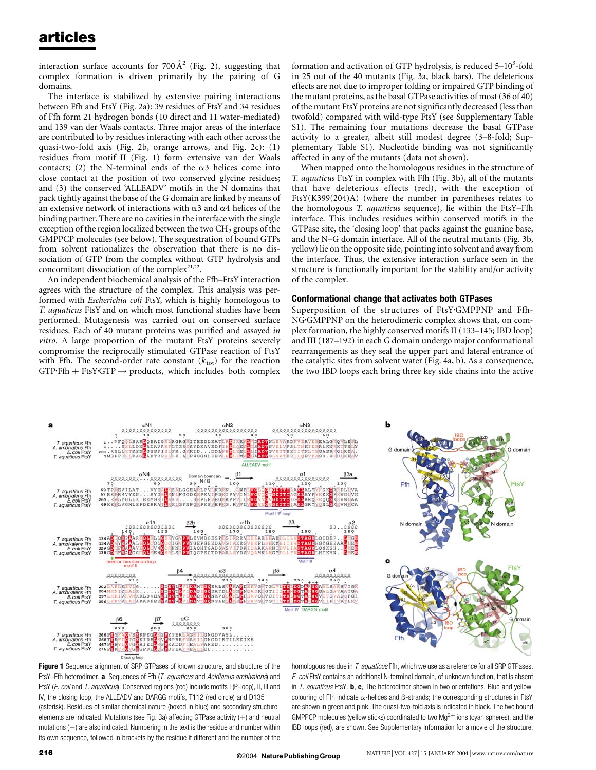interaction surface accounts for 700  $\AA$ <sup>2</sup> (Fig. 2), suggesting that complex formation is driven primarily by the pairing of G domains.

The interface is stabilized by extensive pairing interactions between Ffh and FtsY (Fig. 2a): 39 residues of FtsYand 34 residues of Ffh form 21 hydrogen bonds (10 direct and 11 water-mediated) and 139 van der Waals contacts. Three major areas of the interface are contributed to by residues interacting with each other across the quasi-two-fold axis (Fig. 2b, orange arrows, and Fig. 2c): (1) residues from motif II (Fig. 1) form extensive van der Waals contacts; (2) the N-terminal ends of the  $\alpha$ 3 helices come into close contact at the position of two conserved glycine residues; and (3) the conserved 'ALLEADV' motifs in the N domains that pack tightly against the base of the G domain are linked by means of an extensive network of interactions with  $\alpha$ 3 and  $\alpha$ 4 helices of the binding partner. There are no cavities in the interface with the single exception of the region localized between the two CH<sub>2</sub> groups of the GMPPCP molecules (see below). The sequestration of bound GTPs from solvent rationalizes the observation that there is no dissociation of GTP from the complex without GTP hydrolysis and concomitant dissociation of the complex $21,22$ .

An independent biochemical analysis of the Ffh–FtsY interaction agrees with the structure of the complex. This analysis was performed with Escherichia coli FtsY, which is highly homologous to T. aquaticus FtsY and on which most functional studies have been performed. Mutagenesis was carried out on conserved surface residues. Each of 40 mutant proteins was purified and assayed in vitro. A large proportion of the mutant FtsY proteins severely compromise the reciprocally stimulated GTPase reaction of FtsY with Ffh. The second-order rate constant  $(k_{\text{tot}})$  for the reaction  $GTP\text{-}Ffh + FtsY\text{-}GTP \rightarrow products, which includes both complex$ 

formation and activation of GTP hydrolysis, is reduced  $5-10^3$ -fold in 25 out of the 40 mutants (Fig. 3a, black bars). The deleterious effects are not due to improper folding or impaired GTP binding of the mutant proteins, asthe basalGTPase activities of most(36 of 40) of the mutant FtsY proteins are not significantly decreased (less than twofold) compared with wild-type FtsY (see Supplementary Table S1). The remaining four mutations decrease the basal GTPase activity to a greater, albeit still modest degree (3–8-fold; Supplementary Table S1). Nucleotide binding was not significantly affected in any of the mutants (data not shown).

When mapped onto the homologous residues in the structure of T. aquaticus FtsY in complex with Ffh (Fig. 3b), all of the mutants that have deleterious effects (red), with the exception of FtsY(K399(204)A) (where the number in parentheses relates to the homologous T. aquaticus sequence), lie within the FtsY–Ffh interface. This includes residues within conserved motifs in the GTPase site, the 'closing loop' that packs against the guanine base, and the N–G domain interface. All of the neutral mutants (Fig. 3b, yellow) lie on the opposite side, pointing into solvent and away from the interface. Thus, the extensive interaction surface seen in the structure is functionally important for the stability and/or activity of the complex.

## Conformational change that activates both GTPases

Superposition of the structures of FtsY.GMPPNP and Ffh-NG<sup>G</sup>MPPNP on the heterodimeric complex shows that, on complex formation, the highly conserved motifs II (133–145; IBD loop) and III (187–192) in each G domain undergo major conformational rearrangements as they seal the upper part and lateral entrance of the catalytic sites from solvent water (Fig. 4a, b). As a consequence, the two IBD loops each bring three key side chains into the active



Figure 1 Sequence alignment of SRP GTPases of known structure, and structure of the FtsY–Ffh heterodimer.  $\mathbf a$ , Sequences of Ffh (*T. aquaticus* and Acidianus ambivalens) and FtsY (*E. coli* and *T. aquaticus*). Conserved regions (red) include motifs I (P-loop), II, III and IV, the closing loop, the ALLEADV and DARGG motifs, T112 (red circle) and D135 (asterisk). Residues of similar chemical nature (boxed in blue) and secondary structure elements are indicated. Mutations (see Fig. 3a) affecting GTPase activity  $(+)$  and neutral mutations  $(-)$  are also indicated. Numbering in the text is the residue and number within its own sequence, followed in brackets by the residue if different and the number of the

homologous residue in T. aquaticus Ffh, which we use as a reference for all SRP GTPases. E. coli FtsY contains an additional N-terminal domain, of unknown function, that is absent in T. aquaticus FtsY.  $\mathbf{b}$ ,  $\mathbf{c}$ , The heterodimer shown in two orientations. Blue and yellow colouring of Ffh indicate  $\alpha$ -helices and  $\beta$ -strands; the corresponding structures in FtsY are shown in green and pink. The quasi-two-fold axis is indicated in black. The two bound GMPPCP molecules (yellow sticks) coordinated to two  $Mg^{2+}$  ions (cyan spheres), and the IBD loops (red), are shown. See Supplementary Information for a movie of the structure.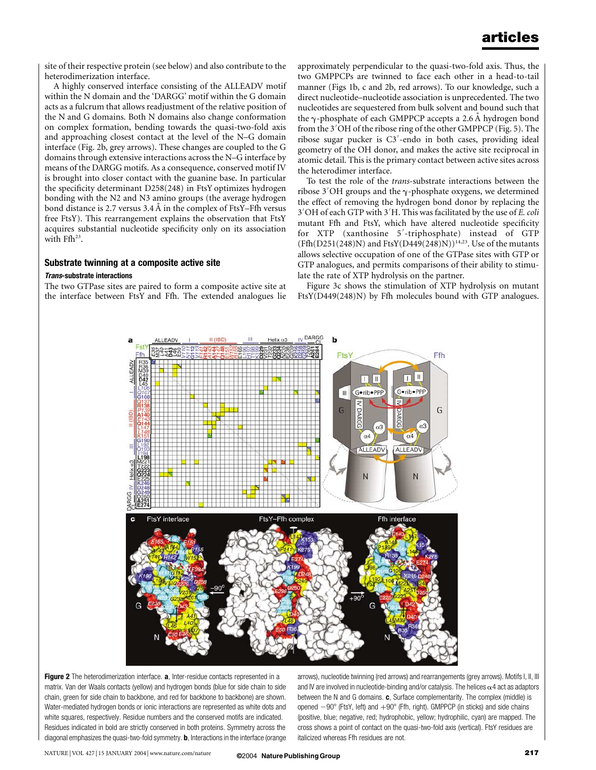site of their respective protein (see below) and also contribute to the heterodimerization interface.

A highly conserved interface consisting of the ALLEADV motif within the N domain and the 'DARGG' motif within the G domain acts as a fulcrum that allows readjustment of the relative position of the N and G domains. Both N domains also change conformation on complex formation, bending towards the quasi-two-fold axis and approaching closest contact at the level of the N–G domain interface (Fig. 2b, grey arrows). These changes are coupled to the G domains through extensive interactions across the N–G interface by means of the DARGG motifs. As a consequence, conserved motif IV is brought into closer contact with the guanine base. In particular the specificity determinant D258(248) in FtsY optimizes hydrogen bonding with the N2 and N3 amino groups (the average hydrogen bond distance is 2.7 versus  $3.4 \text{ Å}$  in the complex of FtsY–Ffh versus free FtsY). This rearrangement explains the observation that FtsY acquires substantial nucleotide specificity only on its association with Ffh<sup>23</sup>.

## Substrate twinning at a composite active site

#### Trans-substrate interactions

The two GTPase sites are paired to form a composite active site at the interface between FtsY and Ffh. The extended analogues lie approximately perpendicular to the quasi-two-fold axis. Thus, the two GMPPCPs are twinned to face each other in a head-to-tail manner (Figs 1b, c and 2b, red arrows). To our knowledge, such a direct nucleotide–nucleotide association is unprecedented. The two nucleotides are sequestered from bulk solvent and bound such that the  $\gamma$ -phosphate of each GMPPCP accepts a 2.6 Å hydrogen bond from the 3'OH of the ribose ring of the other GMPPCP (Fig. 5). The ribose sugar pucker is C3<sup>'</sup>-endo in both cases, providing ideal geometry of the OH donor, and makes the active site reciprocal in atomic detail. This is the primary contact between active sites across the heterodimer interface.

To test the role of the trans-substrate interactions between the ribose  $3'$ OH groups and the  $\gamma$ -phosphate oxygens, we determined the effect of removing the hydrogen bond donor by replacing the  $3'$ OH of each GTP with  $3'$ H. This was facilitated by the use of *E. coli* mutant Ffh and FtsY, which have altered nucleotide specificity for XTP (xanthosine 5'-triphosphate) instead of GTP  $(Ffh(D251(248)N)$  and  $FtsY(D449(248)N))^{14,23}$ . Use of the mutants allows selective occupation of one of the GTPase sites with GTP or GTP analogues, and permits comparisons of their ability to stimulate the rate of XTP hydrolysis on the partner.

Figure 3c shows the stimulation of XTP hydrolysis on mutant FtsY(D449(248)N) by Ffh molecules bound with GTP analogues.



Figure 2 The heterodimerization interface. a, Inter-residue contacts represented in a matrix. Van der Waals contacts (yellow) and hydrogen bonds (blue for side chain to side chain, green for side chain to backbone, and red for backbone to backbone) are shown. Water-mediated hydrogen bonds or ionic interactions are represented as white dots and white squares, respectively. Residue numbers and the conserved motifs are indicated. Residues indicated in bold are strictly conserved in both proteins. Symmetry across the diagonal emphasizes the quasi-two-fold symmetry. **b**, Interactions in the interface (orange

arrows), nucleotide twinning (red arrows) and rearrangements (grey arrows). Motifs I, II, III and IV are involved in nucleotide-binding and/or catalysis. The helices  $\alpha$ 4 act as adaptors between the N and G domains.  $c$ , Surface complementarity. The complex (middle) is opened  $-90^{\circ}$  (FtsY, left) and  $+90^{\circ}$  (Ffh, right). GMPPCP (in sticks) and side chains (positive, blue; negative, red; hydrophobic, yellow; hydrophilic, cyan) are mapped. The cross shows a point of contact on the quasi-two-fold axis (vertical). FtsY residues are italicized whereas Ffh residues are not.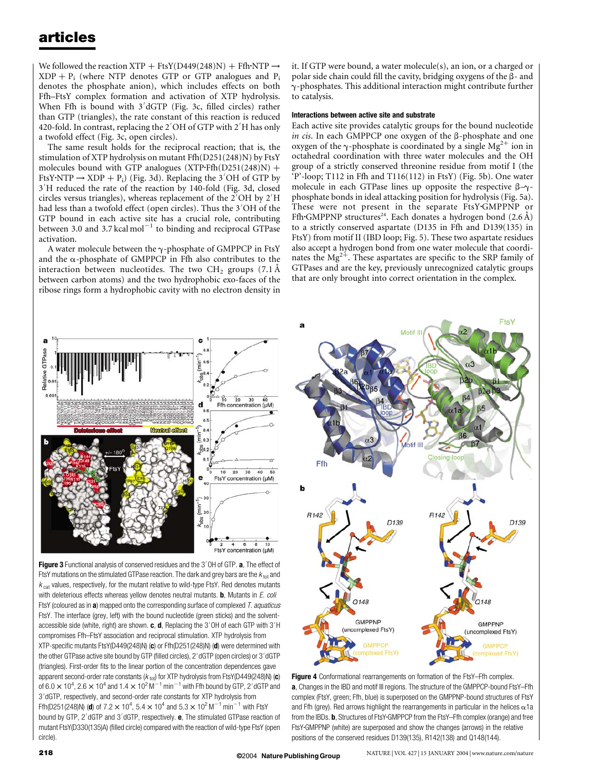We followed the reaction XTP + FtsY(D449(248)N) + Ffh·NTP  $\rightarrow$  $XDP + P_i$  (where NTP denotes GTP or GTP analogues and P<sub>i</sub> denotes the phosphate anion), which includes effects on both Ffh–FtsY complex formation and activation of XTP hydrolysis. When Ffh is bound with  $3'$ dGTP (Fig. 3c, filled circles) rather than GTP (triangles), the rate constant of this reaction is reduced 420-fold. In contrast, replacing the 2 $^{\prime}$ OH of GTP with 2 $^{\prime}$ H has only a twofold effect (Fig. 3c, open circles).

The same result holds for the reciprocal reaction; that is, the stimulation of XTP hydrolysis on mutant Ffh(D251(248)N) by FtsY molecules bound with GTP analogues  $(XTP\text{-}Ffh(D251(248)N) +$ FtsY·NTP  $\rightarrow$  XDP + P<sub>i</sub>) (Fig. 3d). Replacing the 3<sup>'</sup>OH of GTP by 3'H reduced the rate of the reaction by 140-fold (Fig. 3d, closed circles versus triangles), whereas replacement of the  $2'OH$  by  $2'H$ had less than a twofold effect (open circles). Thus the 3 $^{\prime}{\rm OH}$  of the GTP bound in each active site has a crucial role, contributing between 3.0 and 3.7 kcal mol<sup>-1</sup> to binding and reciprocal GTPase activation.

A water molecule between the  $\gamma$ -phosphate of GMPPCP in FtsY and the  $\alpha$ -phosphate of GMPPCP in Ffh also contributes to the interaction between nucleotides. The two  $CH<sub>2</sub>$  groups (7.1 Å between carbon atoms) and the two hydrophobic exo-faces of the ribose rings form a hydrophobic cavity with no electron density in

it. If GTP were bound, a water molecule(s), an ion, or a charged or polar side chain could fill the cavity, bridging oxygens of the  $\beta$ - and  $\gamma$ -phosphates. This additional interaction might contribute further to catalysis.

#### Interactions between active site and substrate

Each active site provides catalytic groups for the bound nucleotide in cis. In each GMPPCP one oxygen of the  $\beta$ -phosphate and one oxygen of the  $\gamma$ -phosphate is coordinated by a single Mg<sup>2+</sup> ion in octahedral coordination with three water molecules and the OH group of a strictly conserved threonine residue from motif I (the 'P'-loop; T112 in Ffh and T116(112) in FtsY) (Fig. 5b). One water molecule in each GTPase lines up opposite the respective  $\beta-\gamma$ phosphate bonds in ideal attacking position for hydrolysis (Fig. 5a). These were not present in the separate FtsY.GMPPNP or Ffh GMPPNP structures<sup>24</sup>. Each donates a hydrogen bond  $(2.6 \text{ Å})$ to a strictly conserved aspartate (D135 in Ffh and D139(135) in FtsY) from motif II (IBD loop; Fig. 5). These two aspartate residues also accept a hydrogen bond from one water molecule that coordinates the  $Mg^{2+}$ . These aspartates are specific to the SRP family of GTPases and are the key, previously unrecognized catalytic groups that are only brought into correct orientation in the complex.



Figure 3 Functional analysis of conserved residues and the 3'OH of GTP. a, The effect of FtsY mutations on the stimulated GTPase reaction. The dark and grey bars are the  $k_{\text{tot}}$  and  $k_{\text{cat}}$  values, respectively, for the mutant relative to wild-type FtsY. Red denotes mutants with deleterious effects whereas yellow denotes neutral mutants. **, Mutants in**  $E$ **. coli** FtsY (coloured as in  $a$ ) mapped onto the corresponding surface of complexed  $T$ . aquaticus FtsY. The interface (grey, left) with the bound nucleotide (green sticks) and the solventaccessible side (white, right) are shown.  $\mathbf{c}$ ,  $\mathbf{d}$ , Replacing the 3'OH of each GTP with 3'H compromises Ffh–FtsY association and reciprocal stimulation. XTP hydrolysis from XTP-specific mutants FtsY(D449(248)N) (c) or Ffh(D251(248)N) (d) were determined with the other GTPase active site bound by GTP (filled circles), 2′dGTP (open circles) or 3′dGTP (triangles). First-order fits to the linear portion of the concentration dependences gave apparent second-order rate constants ( $k_{\text{tot}}$ ) for XTP hydrolysis from FtsY(D449(248)N) (c) of 6.0  $\times$  10<sup>4</sup>, 2.6  $\times$  10<sup>4</sup> and 1.4  $\times$  10<sup>2</sup> M<sup>-1</sup> min<sup>-1</sup> with Ffh bound by GTP, 2'dGTP and 3'dGTP, respectively, and second-order rate constants for XTP hydrolysis from Ffh(D251(248)N) (**d**) of 7.2  $\times$  10<sup>4</sup>, 5.4  $\times$  10<sup>4</sup> and 5.3  $\times$  10<sup>2</sup> M<sup>-1</sup> min<sup>-1</sup> with FtsY bound by GTP, 2'dGTP and 3'dGTP, respectively. **e**, The stimulated GTPase reaction of mutant FtsY(D330(135)A) (filled circle) compared with the reaction of wild-type FtsY (open circle).



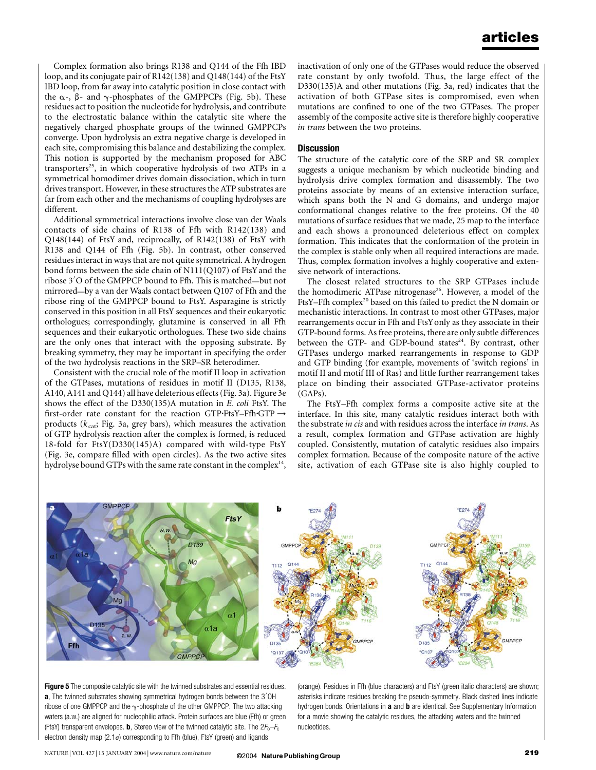Complex formation also brings R138 and Q144 of the Ffh IBD loop, and its conjugate pair of R142(138) and Q148(144) of the FtsY IBD loop, from far away into catalytic position in close contact with the  $\alpha$ -,  $\beta$ - and  $\gamma$ -phosphates of the GMPPCPs (Fig. 5b). These residues act to position the nucleotide for hydrolysis, and contribute to the electrostatic balance within the catalytic site where the negatively charged phosphate groups of the twinned GMPPCPs converge. Upon hydrolysis an extra negative charge is developed in each site, compromising this balance and destabilizing the complex. This notion is supported by the mechanism proposed for ABC transporters<sup>25</sup>, in which cooperative hydrolysis of two ATPs in a symmetrical homodimer drives domain dissociation, which in turn drives transport. However, in these structures the ATP substrates are far from each other and the mechanisms of coupling hydrolyses are different.

Additional symmetrical interactions involve close van der Waals contacts of side chains of R138 of Ffh with R142(138) and Q148(144) of FtsY and, reciprocally, of R142(138) of FtsY with R138 and Q144 of Ffh (Fig. 5b). In contrast, other conserved residues interact in ways that are not quite symmetrical. A hydrogen bond forms between the side chain of N111(Q107) of FtsYand the ribose 3'O of the GMPPCP bound to Ffh. This is matched—but not mirrored—by a van der Waals contact between Q107 of Ffh and the ribose ring of the GMPPCP bound to FtsY. Asparagine is strictly conserved in this position in all FtsY sequences and their eukaryotic orthologues; correspondingly, glutamine is conserved in all Ffh sequences and their eukaryotic orthologues. These two side chains are the only ones that interact with the opposing substrate. By breaking symmetry, they may be important in specifying the order of the two hydrolysis reactions in the SRP–SR heterodimer.

Consistent with the crucial role of the motif II loop in activation of the GTPases, mutations of residues in motif II (D135, R138, A140, A141 and Q144) all have deleterious effects(Fig. 3a). Figure 3e shows the effect of the D330(135)A mutation in E. coli FtsY. The first-order rate constant for the reaction GTP-FtsY–Ffh-GTP  $\rightarrow$ products ( $k_{cat}$ ; Fig. 3a, grey bars), which measures the activation of GTP hydrolysis reaction after the complex is formed, is reduced 18-fold for FtsY(D330(145)A) compared with wild-type FtsY (Fig. 3e, compare filled with open circles). As the two active sites hydrolyse bound GTPs with the same rate constant in the complex<sup>14</sup>,

inactivation of only one of the GTPases would reduce the observed rate constant by only twofold. Thus, the large effect of the D330(135)A and other mutations (Fig. 3a, red) indicates that the activation of both GTPase sites is compromised, even when mutations are confined to one of the two GTPases. The proper assembly of the composite active site is therefore highly cooperative in trans between the two proteins.

### **Discussion**

The structure of the catalytic core of the SRP and SR complex suggests a unique mechanism by which nucleotide binding and hydrolysis drive complex formation and disassembly. The two proteins associate by means of an extensive interaction surface, which spans both the N and G domains, and undergo major conformational changes relative to the free proteins. Of the 40 mutations of surface residues that we made, 25 map to the interface and each shows a pronounced deleterious effect on complex formation. This indicates that the conformation of the protein in the complex is stable only when all required interactions are made. Thus, complex formation involves a highly cooperative and extensive network of interactions.

The closest related structures to the SRP GTPases include the homodimeric ATPase nitrogenase<sup>26</sup>. However, a model of the FtsY-Ffh complex<sup>20</sup> based on this failed to predict the N domain or mechanistic interactions. In contrast to most other GTPases, major rearrangements occur in Ffh and FtsYonly as they associate in their GTP-bound forms. As free proteins, there are only subtle differences between the GTP- and GDP-bound states<sup>24</sup>. By contrast, other GTPases undergo marked rearrangements in response to GDP and GTP binding (for example, movements of 'switch regions' in motif II and motif III of Ras) and little further rearrangement takes place on binding their associated GTPase-activator proteins (GAPs).

The FtsY–Ffh complex forms a composite active site at the interface. In this site, many catalytic residues interact both with the substrate in cis and with residues across the interface in trans. As a result, complex formation and GTPase activation are highly coupled. Consistently, mutation of catalytic residues also impairs complex formation. Because of the composite nature of the active site, activation of each GTPase site is also highly coupled to



**Figure 5** The composite catalytic site with the twinned substrates and essential residues.  $a$ , The twinned substrates showing symmetrical hydrogen bonds between the 3'OH ribose of one GMPPCP and the  $\gamma$ -phosphate of the other GMPPCP. The two attacking waters (a.w.) are aligned for nucleophilic attack. Protein surfaces are blue (Ffh) or green (FtsY) transparent envelopes. **b**, Stereo view of the twinned catalytic site. The  $2F_0-F_c$ electron density map (2.1 $\sigma$ ) corresponding to Ffh (blue), FtsY (green) and ligands

(orange). Residues in Ffh (blue characters) and FtsY (green italic characters) are shown; asterisks indicate residues breaking the pseudo-symmetry. Black dashed lines indicate hydrogen bonds. Orientations in a and **b** are identical. See Supplementary Information for a movie showing the catalytic residues, the attacking waters and the twinned nucleotides.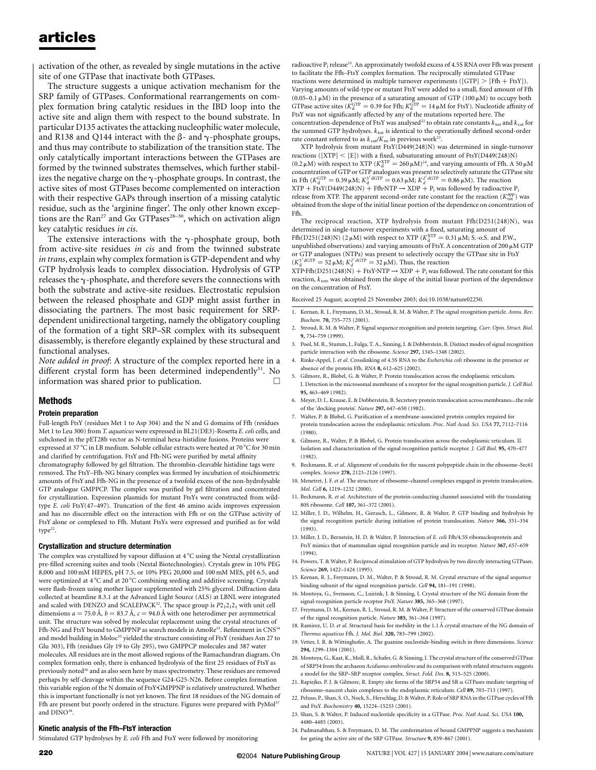activation of the other, as revealed by single mutations in the active site of one GTPase that inactivate both GTPases.

The structure suggests a unique activation mechanism for the SRP family of GTPases. Conformational rearrangements on complex formation bring catalytic residues in the IBD loop into the active site and align them with respect to the bound substrate. In particular D135 activates the attacking nucleophilic water molecule, and R138 and Q144 interact with the  $\beta$ - and  $\gamma$ -phosphate groups, and thus may contribute to stabilization of the transition state. The only catalytically important interactions between the GTPases are formed by the twinned substrates themselves, which further stabilizes the negative charge on the  $\gamma$ -phosphate groups. In contrast, the active sites of most GTPases become complemented on interaction with their respective GAPs through insertion of a missing catalytic residue, such as the 'arginine finger'. The only other known exceptions are the Ran<sup>27</sup> and G $\alpha$  GTPases<sup>28–30</sup>, which on activation align key catalytic residues in cis.

The extensive interactions with the  $\gamma$ -phosphate group, both from active-site residues in cis and from the twinned substrate in trans, explain why complex formation is GTP-dependent and why GTP hydrolysis leads to complex dissociation. Hydrolysis of GTP releases the  $\gamma$ -phosphate, and therefore severs the connections with both the substrate and active-site residues. Electrostatic repulsion between the released phosphate and GDP might assist further in dissociating the partners. The most basic requirement for SRPdependent unidirectional targeting, namely the obligatory coupling of the formation of a tight SRP–SR complex with its subsequent disassembly, is therefore elegantly explained by these structural and functional analyses.

Note added in proof: A structure of the complex reported here in a different crystal form has been determined independently $31$ . No information was shared prior to publication.  $\Box$ 

### Methods

#### Protein preparation

Full-length FtsY (residues Met 1 to Asp 304) and the N and G domains of Ffh (residues Met 1 to Leu 300) from T. aquaticus were expressed in BL21(DE3)-Rosetta E. coli cells, and subcloned in the pET28b vector as N-terminal hexa-histidine fusions. Proteins were expressed at 37 °C in LB medium. Soluble cellular extracts were heated at 70 °C for 30 min and clarified by centrifugation. FtsY and Ffh-NG were purified by metal affinity chromatography followed by gel filtration. The thrombin-cleavable histidine tags were removed. The FtsY–Ffh-NG binary complex was formed by incubation of stoichiometric amounts of FtsYand Ffh-NG in the presence of a twofold excess of the non-hydrolysable GTP analogue GMPPCP. The complex was purified by gel filtration and concentrated for crystallization. Expression plasmids for mutant FtsYs were constructed from wildtype E. coli FtsY(47–497). Truncation of the first 46 amino acids improves expression and has no discernible effect on the interaction with Ffh or on the GTPase activity of FtsY alone or complexed to Ffh. Mutant FtsYs were expressed and purified as for wild  $type<sup>22</sup>$ .

#### Crystallization and structure determination

The complex was crystallized by vapour diffusion at  $4^{\circ}$ C using the Nextal crystallization pre-filled screening suites and tools (Nextal Biotechnologies). Crystals grew in 10% PEG 8,000 and 100 mM HEPES, pH 7.5, or 10% PEG 20,000 and 100 mM MES, pH 6.5, and were optimized at 4 °C and at 20 °C combining seeding and additive screening. Crystals were flash-frozen using mother liquor supplemented with 25% glycerol. Diffraction data collected at beamline 8.3.1 at the Advanced Light Source (ALS) at LBNL were integrated and scaled with DENZO and SCALEPACK<sup>32</sup>. The space group is  $P2_12_12_1$  with unit cell dimensions  $a = 75.0 \text{ Å}$ ,  $b = 83.7 \text{ Å}$ ,  $c = 94.0 \text{ Å}$  with one heterodimer per asymmetrical unit. The structure was solved by molecular replacement using the crystal structures of Ffh-NG and FtsY bound to GMPPNP as search models in AmoRe<sup>33</sup>. Refinement in CNS<sup>34</sup> and model building in Moloc $\mathrm{^{35}}$  yielded the structure consisting of FtsY (residues Asn 27 to Glu 303), Ffh (residues Gly 19 to Gly 295), two GMPPCP molecules and 387 water molecules. All residues are in the most allowed regions of the Ramachandran diagram. On complex formation only, there is enhanced hydrolysis of the first 25 residues of FtsY as previously noted<sup>36</sup> and as also seen here by mass spectrometry. These residues are removed perhaps by self-cleavage within the sequence G24-G25-N26. Before complex formation this variable region of the N domain of FtsY-GMPPNP is relatively unstructured. Whether this is important functionally is not yet known. The first 18 residues of the NG domain of Ffh are present but poorly ordered in the structure. Figures were prepared with PyMol<sup>37</sup> and DINO<sup>38</sup>.

#### Kinetic analysis of the Ffh–FtsY interaction

Stimulated GTP hydrolyses by E. coli Ffh and FtsY were followed by monitoring

radioactive  $P_i$  release<sup>23</sup>. An approximately twofold excess of 4.5S RNA over Ffh was present to facilitate the Ffh–FtsY complex formation. The reciprocally stimulated GTPase reactions were determined in multiple turnover experiments ([GTP]  $>$  [Ffh + FtsY]). Varying amounts of wild-type or mutant FtsY were added to a small, fixed amount of Ffh (0.05–0.1  $\mu$ M) in the presence of a saturating amount of GTP (100  $\mu$ M) to occupy both GTPase active sites ( $K_d^{\text{GTP}} = 0.39$  for Ffh;  $K_d^{\text{GTP}} = 14 \mu \text{M}$  for FtsY). Nucleotide affinity of FtsY was not significantly affected by any of the mutations reported here. The concentration-dependence of FtsY was analysed<sup>22</sup> to obtain rate constants  $k_{\text{tot}}$  and  $k_{\text{cat}}$  for the summed GTP hydrolyses.  $k_{\text{tot}}$  is identical to the operationally defined second-order rate constant referred to as  $k_{\text{cat}}/K_{\text{m}}$  in previous work<sup>22</sup>.

XTP hydrolysis from mutant FtsY(D449(248)N) was determined in single-turnover reactions ([XTP]  $\lt$  [E]) with a fixed, subsaturating amount of FtsY(D449(248)N)<br>(0.2  $\mu$ M) with respect to XTP ( $K_{\rm d}^{\rm XTP} = 260 \,\mu$ M)<sup>24</sup>, and varying amounts of Ffh. A 50  $\mu$ M concentration of GTP or GTP analogues was present to selectively saturate the GTPase site in Ffh ( $K_{\rm d}^{\rm GTP} = 0.39 \,\mu$ M;  $K_{\rm d}^{3' \text{ dGTP}} = 0.63 \,\mu$ M;  $K_{\rm d}^{2' \text{ dGTP}} = 0.86 \,\mu$ M). The reaction  $XTP + FtsY(D449(248)N) + Ffh\cdot NTP \rightarrow XDP + P_i$  was followed by radioactive  $P_i$ release from XTP. The apparent second-order rate constant for the reaction  $(K_{\text{tot}}^{\text{app}})$  was obtained from the slope of the initial linear portion of the dependence on concentration of Ffh.

The reciprocal reaction, XTP hydrolysis from mutant Ffh(D251(248)N), was determined in single-turnover experiments with a fixed, saturating amount of Ffh(D251(248)N) (2 $\mu$ M) with respect to XTP ( $K_d^{\text{XTP}} = 0.31 \,\mu$ M; S.-o.S. and P.W., unpublished observations) and varying amounts of FtsY. A concentration of 200  $\mu$ M GTP or GTP analogues (NTPs) was present to selectively occupy the GTPase site in FtsY  $(K_d^{3' \text{ dGTP}} = 52 \,\mu\text{M}; K_d^{2' \text{ dGTP}} = 32 \,\mu\text{M}$ ). Thus, the reaction

 $XTP\text{-}Ffh(D251(248)N) + FtsY\text{-}NTP \rightarrow XDP + P_i$  was followed. The rate constant for this reaction,  $k_{\text{tot}}$ , was obtained from the slope of the initial linear portion of the dependence on the concentration of FtsY.

Received 25 August; accepted 25 November 2003; doi:10.1038/nature02250.

- 1. Keenan, R. J., Freymann, D. M., Stroud, R. M. & Walter, P. The signal recognition particle. Annu. Rev. Biochem. 70, 755–775 (2001).
- 2. Stroud, R. M. & Walter, P. Signal sequence recognition and protein targeting. Curr. Opin. Struct. Biol. 9, 754–759 (1999).
- 3. Pool, M. R., Stumm, J., Fulga, T. A., Sinning, I. & Dobberstein, B. Distinct modes of signal recognition particle interaction with the ribosome. Science 297, 1345–1348 (2002).
- 4. Rinke-Appel, J. et al. Crosslinking of 4.5S RNA to the Escherichia coli ribosome in the presence or absence of the protein Ffh. RNA 8, 612–625 (2002).
- 5. Gilmore, R., Blobel, G. & Walter, P. Protein translocation across the endoplasmic reticulum. I. Detection in the microsomal membrane of a receptor for the signal recognition particle. J. Cell Biol. 95, 463–469 (1982).
- 6. Meyer, D. I., Krause, E. & Dobberstein, B. Secretory protein translocation across membranes—the role of the 'docking protein'. Nature 297, 647–650 (1982).
- 7. Walter, P. & Blobel, G. Purification of a membrane-associated protein complex required for protein translocation across the endoplasmic reticulum. Proc. Natl Acad. Sci. USA 77, 7112–7116 (1980).
- 8. Gilmore, R., Walter, P. & Blobel, G. Protein translocation across the endoplasmic reticulum. II. Isolation and characterization of the signal recognition particle receptor. J. Cell Biol. 95, 470–477 (1982).
- 9. Beckmann, R. et al. Alignment of conduits for the nascent polypeptide chain in the ribosome-Sec61 complex. Science 278, 2123–2126 (1997).
- 10. Menetret, J. F. et al. The structure of ribosome-channel complexes engaged in protein translocation. Mol. Cell 6, 1219–1232 (2000).
- 11. Beckmann, R. et al. Architecture of the protein-conducting channel associated with the translating 80S ribosome. Cell 107, 361–372 (2001).
- 12. Miller, J. D., Wilhelm, H., Gierasch, L., Gilmore, R. & Walter, P. GTP binding and hydrolysis by the signal recognition particle during initiation of protein translocation. Nature 366, 351–354 (1993).
- 13. Miller, J. D., Bernstein, H. D. & Walter, P. Interaction of E. coli Ffh/4.5S ribonucleoprotein and FtsY mimics that of mammalian signal recognition particle and its receptor. Nature 367, 657–659 (1994).
- 14. Powers, T. & Walter, P. Reciprocal stimulation of GTP hydrolysis by two directly interacting GTPases. Science 269, 1422-1424 (1995).
- 15. Keenan, R. J., Freymann, D. M., Walter, P. & Stroud, R. M. Crystal structure of the signal sequence binding subunit of the signal recognition particle. Cell 94, 181–191 (1998).
- 16. Montoya, G., Svensson, C., Luirink, J. & Sinning, I. Crystal structure of the NG domain from the signal-recognition particle receptor FtsY. Nature 385, 365–368 (1997).
- 17. Freymann, D. M., Keenan, R. J., Stroud, R. M. & Walter, P. Structure of the conserved GTPase domain of the signal recognition particle. Nature 385, 361–364 (1997).
- 18. Ramirez, U. D. et al. Structural basis for mobility in the 1.1 Å crystal structure of the NG domain of Thermus aquaticus Ffh. J. Mol. Biol. 320, 783–799 (2002).
- 19. Vetter, I. R. & Wittinghofer, A. The guanine nucleotide-binding switch in three dimensions. Science 294, 1299–1304 (2001).
- 20. Montoya, G., Kaat, K., Moll, R., Schafer, G. & Sinning, I. The crystal structure of the conserved GTPase of SRP54 from the archaeon Acidianus ambivalens and its comparison with related structures suggests a model for the SRP–SRP receptor complex. Struct. Fold. Des. 8, 515–525 (2000).
- 21. Rapiejko, P. J. & Gilmore, R. Empty site forms of the SRP54 and SR  $\alpha$  GTPases mediate targeting of ribosome–nascent chain complexes to the endoplasmic reticulum. Cell 89, 703–713 (1997).
- 22. Peluso, P., Shan, S. O., Nock, S., Herschlag, D. & Walter, P. Role of SRP RNA in theGTPase cycles of Ffh and FtsY. Biochemistry 40, 15224–15233 (2001).
- 23. Shan, S. & Walter, P. Induced nucleotide specificity in a GTPase. Proc. Natl Acad. Sci. USA 100, 4480–4485 (2003).
- 24. Padmanabhan, S. & Freymann, D. M. The conformation of bound GMPPNP suggests a mechanism for gating the active site of the SRP GTPase. Structure 9, 859–867 (2001).